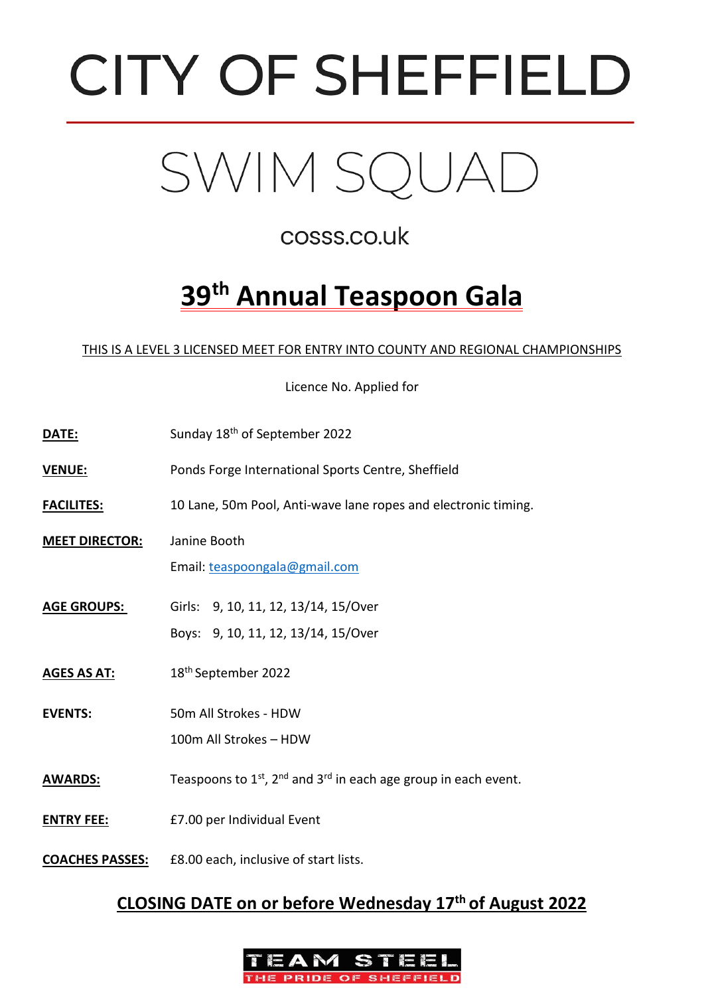



# cosss.co.uk

# **39th Annual Teaspoon Gala**

#### THIS IS A LEVEL 3 LICENSED MEET FOR ENTRY INTO COUNTY AND REGIONAL CHAMPIONSHIPS

Licence No. Applied for

| DATE:                  | Sunday 18 <sup>th</sup> of September 2022                                      |
|------------------------|--------------------------------------------------------------------------------|
| <b>VENUE:</b>          | Ponds Forge International Sports Centre, Sheffield                             |
| <b>FACILITES:</b>      | 10 Lane, 50m Pool, Anti-wave lane ropes and electronic timing.                 |
| <b>MEET DIRECTOR:</b>  | Janine Booth<br>Email: teaspoongala@gmail.com                                  |
| <b>AGE GROUPS:</b>     | Girls: 9, 10, 11, 12, 13/14, 15/Over<br>Boys: 9, 10, 11, 12, 13/14, 15/Over    |
| <b>AGES AS AT:</b>     | 18 <sup>th</sup> September 2022                                                |
| <b>EVENTS:</b>         | 50m All Strokes - HDW<br>100m All Strokes - HDW                                |
| <b>AWARDS:</b>         | Teaspoons to $1^{st}$ , $2^{nd}$ and $3^{rd}$ in each age group in each event. |
| <b>ENTRY FEE:</b>      | £7.00 per Individual Event                                                     |
| <b>COACHES PASSES:</b> | £8.00 each, inclusive of start lists.                                          |

#### **CLOSING DATE on or before Wednesday 17th of August 2022**

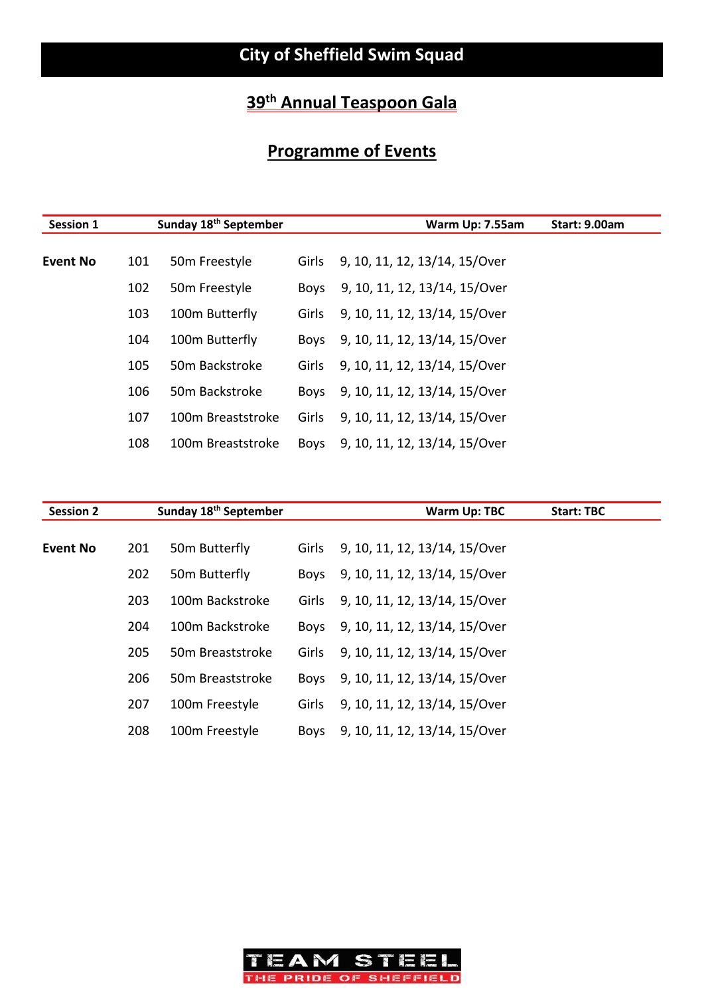# **Programme of Events**

| <b>Session 1</b> |     | Sunday 18 <sup>th</sup> September |             | Warm Up: 7.55am               | <b>Start: 9.00am</b> |
|------------------|-----|-----------------------------------|-------------|-------------------------------|----------------------|
|                  |     |                                   |             |                               |                      |
| <b>Event No</b>  | 101 | 50 <sub>m</sub> Freestyle         | Girls       | 9, 10, 11, 12, 13/14, 15/Over |                      |
|                  | 102 | 50 <sub>m</sub> Freestyle         | <b>Boys</b> | 9, 10, 11, 12, 13/14, 15/Over |                      |
|                  | 103 | 100m Butterfly                    | Girls       | 9, 10, 11, 12, 13/14, 15/Over |                      |
|                  | 104 | 100m Butterfly                    | Boys        | 9, 10, 11, 12, 13/14, 15/Over |                      |
|                  | 105 | 50m Backstroke                    | Girls       | 9, 10, 11, 12, 13/14, 15/Over |                      |
|                  | 106 | 50m Backstroke                    | <b>Boys</b> | 9, 10, 11, 12, 13/14, 15/Over |                      |
|                  | 107 | 100m Breaststroke                 | Girls       | 9, 10, 11, 12, 13/14, 15/Over |                      |
|                  | 108 | 100m Breaststroke                 | <b>Boys</b> | 9, 10, 11, 12, 13/14, 15/Over |                      |

| <b>Session 2</b> |     | Sunday 18 <sup>th</sup> September |       | Warm Up: TBC                  | <b>Start: TBC</b> |
|------------------|-----|-----------------------------------|-------|-------------------------------|-------------------|
| <b>Event No</b>  | 201 | 50 <sub>m</sub> Butterfly         | Girls | 9, 10, 11, 12, 13/14, 15/Over |                   |
|                  | 202 | 50 <sub>m</sub> Butterfly         | Boys  | 9, 10, 11, 12, 13/14, 15/Over |                   |
|                  | 203 | 100m Backstroke                   | Girls | 9, 10, 11, 12, 13/14, 15/Over |                   |
|                  | 204 | 100m Backstroke                   | Boys  | 9, 10, 11, 12, 13/14, 15/Over |                   |
|                  | 205 | 50m Breaststroke                  | Girls | 9, 10, 11, 12, 13/14, 15/Over |                   |
|                  | 206 | 50 <sub>m</sub> Breaststroke      | Boys  | 9, 10, 11, 12, 13/14, 15/Over |                   |
|                  | 207 | 100m Freestyle                    | Girls | 9, 10, 11, 12, 13/14, 15/Over |                   |
|                  | 208 | 100m Freestyle                    | Boys  | 9, 10, 11, 12, 13/14, 15/Over |                   |

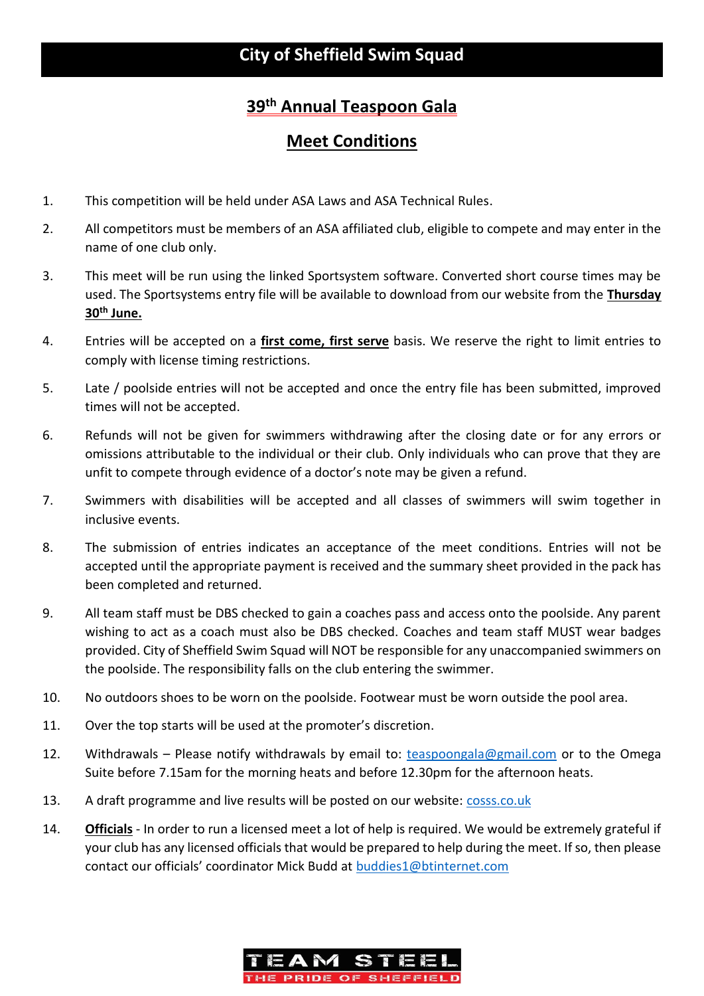#### **Meet Conditions**

- 1. This competition will be held under ASA Laws and ASA Technical Rules.
- 2. All competitors must be members of an ASA affiliated club, eligible to compete and may enter in the name of one club only.
- 3. This meet will be run using the linked Sportsystem software. Converted short course times may be used. The Sportsystems entry file will be available to download from our website from the **Thursday 30th June.**
- 4. Entries will be accepted on a **first come, first serve** basis. We reserve the right to limit entries to comply with license timing restrictions.
- 5. Late / poolside entries will not be accepted and once the entry file has been submitted, improved times will not be accepted.
- 6. Refunds will not be given for swimmers withdrawing after the closing date or for any errors or omissions attributable to the individual or their club. Only individuals who can prove that they are unfit to compete through evidence of a doctor's note may be given a refund.
- 7. Swimmers with disabilities will be accepted and all classes of swimmers will swim together in inclusive events.
- 8. The submission of entries indicates an acceptance of the meet conditions. Entries will not be accepted until the appropriate payment is received and the summary sheet provided in the pack has been completed and returned.
- 9. All team staff must be DBS checked to gain a coaches pass and access onto the poolside. Any parent wishing to act as a coach must also be DBS checked. Coaches and team staff MUST wear badges provided. City of Sheffield Swim Squad will NOT be responsible for any unaccompanied swimmers on the poolside. The responsibility falls on the club entering the swimmer.
- 10. No outdoors shoes to be worn on the poolside. Footwear must be worn outside the pool area.
- 11. Over the top starts will be used at the promoter's discretion.
- 12. Withdrawals Please notify withdrawals by email to: [teaspoongala@gmail.com](mailto:teaspoongala@gmail.com) or to the Omega Suite before 7.15am for the morning heats and before 12.30pm for the afternoon heats.
- 13. A draft programme and live results will be posted on our website: [cosss.co.uk](https://cosss.uk/competitions/open-meets/)
- 14. **Officials** In order to run a licensed meet a lot of help is required. We would be extremely grateful if your club has any licensed officials that would be prepared to help during the meet. If so, then please contact our officials' coordinator Mick Budd at [buddies1@btinternet.com](mailto:buddies1@btinternet.com)

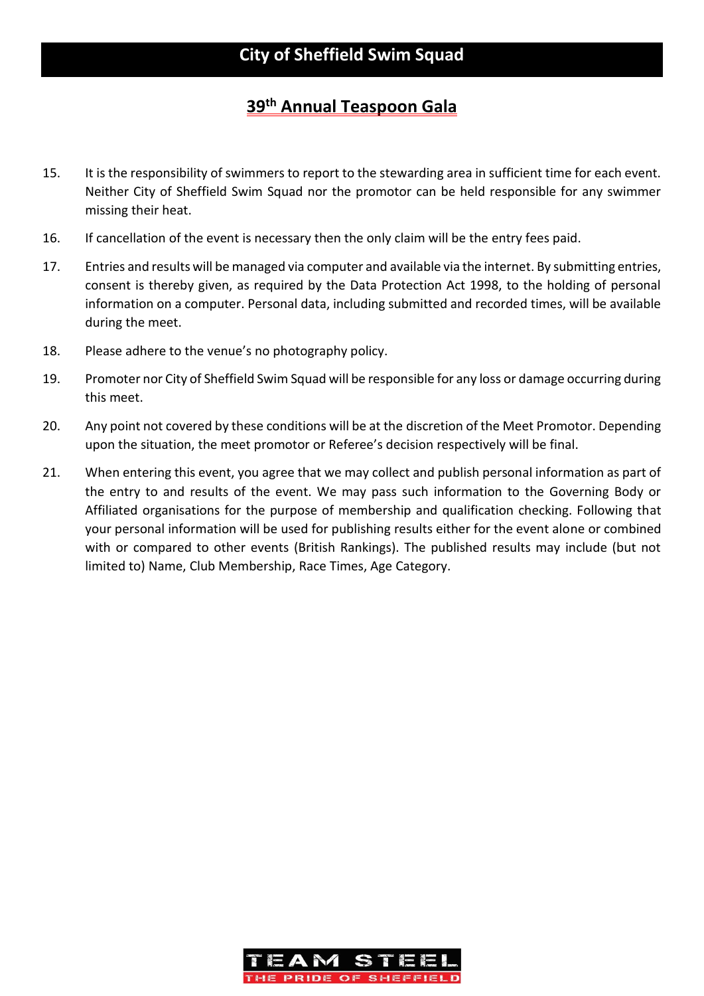- 15. It is the responsibility of swimmers to report to the stewarding area in sufficient time for each event. Neither City of Sheffield Swim Squad nor the promotor can be held responsible for any swimmer missing their heat.
- 16. If cancellation of the event is necessary then the only claim will be the entry fees paid.
- 17. Entries and results will be managed via computer and available via the internet. By submitting entries, consent is thereby given, as required by the Data Protection Act 1998, to the holding of personal information on a computer. Personal data, including submitted and recorded times, will be available during the meet.
- 18. Please adhere to the venue's no photography policy.
- 19. Promoter nor City of Sheffield Swim Squad will be responsible for any loss or damage occurring during this meet.
- 20. Any point not covered by these conditions will be at the discretion of the Meet Promotor. Depending upon the situation, the meet promotor or Referee's decision respectively will be final.
- 21. When entering this event, you agree that we may collect and publish personal information as part of the entry to and results of the event. We may pass such information to the Governing Body or Affiliated organisations for the purpose of membership and qualification checking. Following that your personal information will be used for publishing results either for the event alone or combined with or compared to other events (British Rankings). The published results may include (but not limited to) Name, Club Membership, Race Times, Age Category.

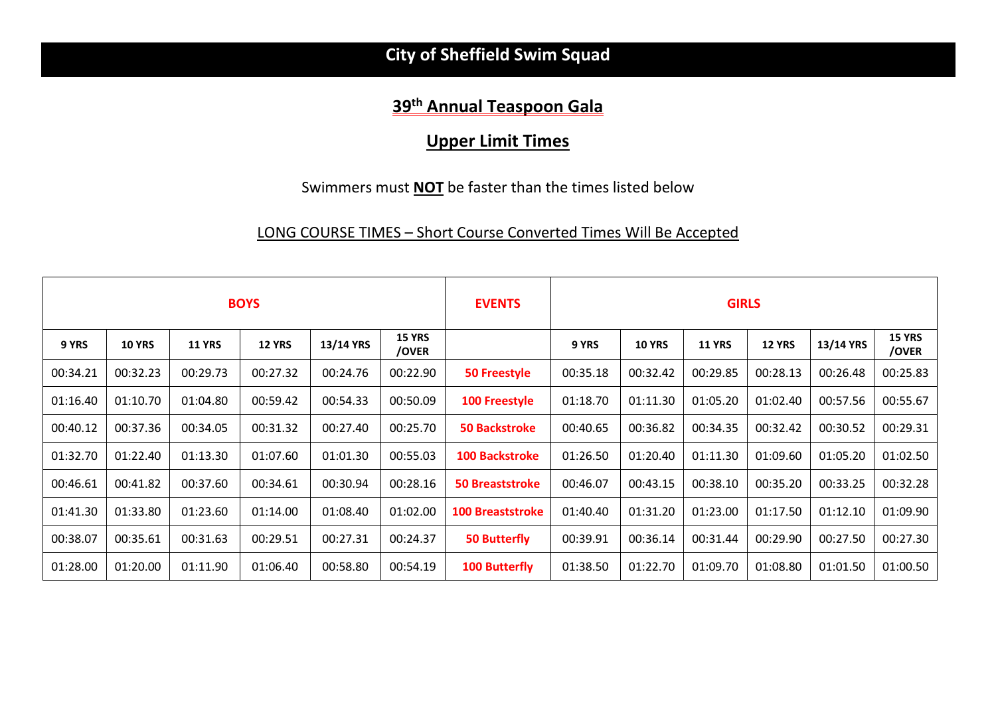# **City of Sheffield Swim Squad**

# **39th Annual Teaspoon Gala**

### **Upper Limit Times**

#### Swimmers must **NOT** be faster than the times listed below

#### LONG COURSE TIMES – Short Course Converted Times Will Be Accepted

| <b>BOYS</b> |               |               |               | <b>EVENTS</b> | <b>GIRLS</b>           |                         |          |               |               |               |           |                        |
|-------------|---------------|---------------|---------------|---------------|------------------------|-------------------------|----------|---------------|---------------|---------------|-----------|------------------------|
| 9 YRS       | <b>10 YRS</b> | <b>11 YRS</b> | <b>12 YRS</b> | 13/14 YRS     | <b>15 YRS</b><br>/OVER |                         | 9 YRS    | <b>10 YRS</b> | <b>11 YRS</b> | <b>12 YRS</b> | 13/14 YRS | <b>15 YRS</b><br>/OVER |
| 00:34.21    | 00:32.23      | 00:29.73      | 00:27.32      | 00:24.76      | 00:22.90               | <b>50 Freestyle</b>     | 00:35.18 | 00:32.42      | 00:29.85      | 00:28.13      | 00:26.48  | 00:25.83               |
| 01:16.40    | 01:10.70      | 01:04.80      | 00:59.42      | 00:54.33      | 00:50.09               | <b>100 Freestyle</b>    | 01:18.70 | 01:11.30      | 01:05.20      | 01:02.40      | 00:57.56  | 00:55.67               |
| 00:40.12    | 00:37.36      | 00:34.05      | 00:31.32      | 00:27.40      | 00:25.70               | <b>50 Backstroke</b>    | 00:40.65 | 00:36.82      | 00:34.35      | 00:32.42      | 00:30.52  | 00:29.31               |
| 01:32.70    | 01:22.40      | 01:13.30      | 01:07.60      | 01:01.30      | 00:55.03               | <b>100 Backstroke</b>   | 01:26.50 | 01:20.40      | 01:11.30      | 01:09.60      | 01:05.20  | 01:02.50               |
| 00:46.61    | 00:41.82      | 00:37.60      | 00:34.61      | 00:30.94      | 00:28.16               | <b>50 Breaststroke</b>  | 00:46.07 | 00:43.15      | 00:38.10      | 00:35.20      | 00:33.25  | 00:32.28               |
| 01:41.30    | 01:33.80      | 01:23.60      | 01:14.00      | 01:08.40      | 01:02.00               | <b>100 Breaststroke</b> | 01:40.40 | 01:31.20      | 01:23.00      | 01:17.50      | 01:12.10  | 01:09.90               |
| 00:38.07    | 00:35.61      | 00:31.63      | 00:29.51      | 00:27.31      | 00:24.37               | <b>50 Butterfly</b>     | 00:39.91 | 00:36.14      | 00:31.44      | 00:29.90      | 00:27.50  | 00:27.30               |
| 01:28.00    | 01:20.00      | 01:11.90      | 01:06.40      | 00:58.80      | 00:54.19               | <b>100 Butterfly</b>    | 01:38.50 | 01:22.70      | 01:09.70      | 01:08.80      | 01:01.50  | 01:00.50               |